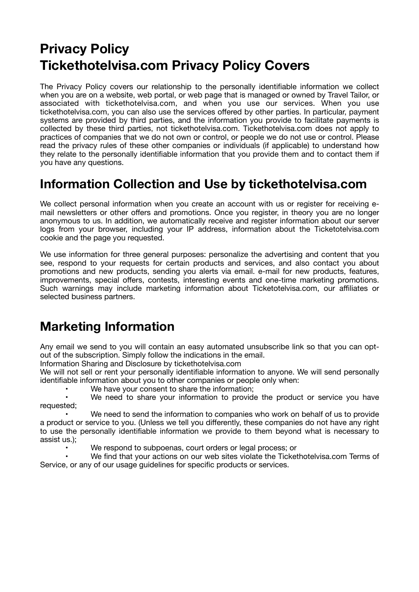# **Privacy Policy Tickethotelvisa.com Privacy Policy Covers**

The Privacy Policy covers our relationship to the personally identifiable information we collect when you are on a website, web portal, or web page that is managed or owned by Travel Tailor, or associated with tickethotelvisa.com, and when you use our services. When you use tickethotelvisa.com, you can also use the services offered by other parties. In particular, payment systems are provided by third parties, and the information you provide to facilitate payments is collected by these third parties, not tickethotelvisa.com. Tickethotelvisa.com does not apply to practices of companies that we do not own or control, or people we do not use or control. Please read the privacy rules of these other companies or individuals (if applicable) to understand how they relate to the personally identifiable information that you provide them and to contact them if you have any questions.

#### **Information Collection and Use by tickethotelvisa.com**

We collect personal information when you create an account with us or register for receiving email newsletters or other offers and promotions. Once you register, in theory you are no longer anonymous to us. In addition, we automatically receive and register information about our server logs from your browser, including your IP address, information about the Ticketotelvisa.com cookie and the page you requested.

We use information for three general purposes: personalize the advertising and content that you see, respond to your requests for certain products and services, and also contact you about promotions and new products, sending you alerts via email. e-mail for new products, features, improvements, special offers, contests, interesting events and one-time marketing promotions. Such warnings may include marketing information about Ticketotelvisa.com, our affiliates or selected business partners.

### **Marketing Information**

Any email we send to you will contain an easy automated unsubscribe link so that you can optout of the subscription. Simply follow the indications in the email.

Information Sharing and Disclosure by tickethotelvisa.com

We will not sell or rent your personally identifiable information to anyone. We will send personally identifiable information about you to other companies or people only when:

We have your consent to share the information;

We need to share your information to provide the product or service you have requested;

We need to send the information to companies who work on behalf of us to provide a product or service to you. (Unless we tell you differently, these companies do not have any right to use the personally identifiable information we provide to them beyond what is necessary to assist us.);

We respond to subpoenas, court orders or legal process; or

We find that your actions on our web sites violate the Tickethotelvisa.com Terms of Service, or any of our usage guidelines for specific products or services.